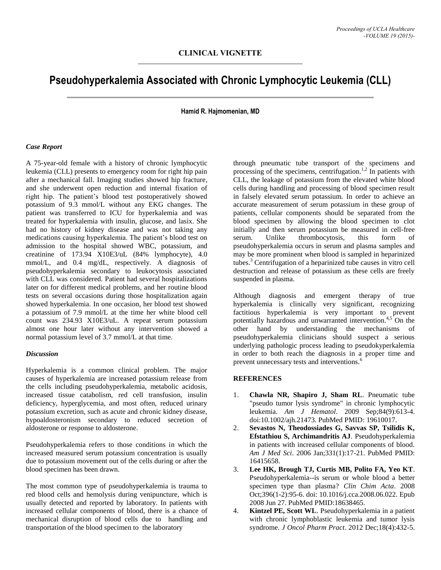# **Pseudohyperkalemia Associated with Chronic Lymphocytic Leukemia (CLL)**

## **Hamid R. Hajmomenian, MD**

### *Case Report*

A 75-year-old female with a history of chronic lymphocytic leukemia (CLL) presents to emergency room for right hip pain after a mechanical fall. Imaging studies showed hip fracture, and she underwent open reduction and internal fixation of right hip. The patient's blood test postoperatively showed potassium of 9.3 mmol/L without any EKG changes. The patient was transferred to ICU for hyperkalemia and was treated for hyperkalemia with insulin, glucose, and lasix. She had no history of kidney disease and was not taking any medications causing hyperkalemia. The patient's blood test on admission to the hospital showed WBC, potassium, and creatinine of 173.94 X10E3/uL (84% lymphocyte), 4.0 mmol/L, and 0.4 mg/dL, respectively. A diagnosis of pseudohyperkalemia secondary to leukocytosis associated with CLL was considered. Patient had several hospitalizations later on for different medical problems, and her routine blood tests on several occasions during those hospitalization again showed hyperkalemia. In one occasion, her blood test showed a potassium of 7.9 mmol/L at the time her white blood cell count was 234.93 X10E3/uL. A repeat serum potassium almost one hour later without any intervention showed a normal potassium level of 3.7 mmol/L at that time.

## *Discussion*

Hyperkalemia is a common clinical problem. The major causes of hyperkalemia are increased potassium release from the cells including pseudohyperkalemia, metabolic acidosis, increased tissue catabolism, red cell transfusion, insulin deficiency, hyperglycemia, and most often, reduced urinary potassium excretion, such as acute and chronic kidney disease, hypoaldosteronism secondary to reduced secretion of aldosterone or response to aldosterone.

Pseudohyperkalemia refers to those conditions in which the increased measured serum potassium concentration is usually due to potassium movement out of the cells during or after the blood specimen has been drawn.

The most common type of pseudohyperkalemia is trauma to red blood cells and hemolysis during venipuncture, which is usually detected and reported by laboratory. In patients with increased cellular components of blood, there is a chance of mechanical disruption of blood cells due to handling and transportation of the blood specimen to the laboratory

through pneumatic tube transport of the specimens and processing of the specimens, centrifugation.<sup>1,2</sup> In patients with CLL, the leakage of potassium from the elevated white blood cells during handling and processing of blood specimen result in falsely elevated serum potassium. In order to achieve an accurate measurement of serum potassium in these group of patients, cellular components should be separated from the blood specimen by allowing the blood specimen to clot initially and then serum potassium be measured in cell-free serum. Unlike thrombocytosis, this form of pseudohyperkalemia occurs in serum and plasma samples and may be more prominent when blood is sampled in heparinized tubes. <sup>3</sup> Centrifugation of a heparinized tube causes in vitro cell destruction and release of potassium as these cells are freely suspended in plasma.

Although diagnosis and emergent therapy of true hyperkalemia is clinically very significant, recognizing factitious hyperkalemia is very important to prevent potentially hazardous and unwarranted intervention.<sup>4,5</sup> On the other hand by understanding the mechanisms of pseudohyperkalemia clinicians should suspect a serious underlying pathologic process leading to pseudokyperkalemia in order to both reach the diagnosis in a proper time and prevent unnecessary tests and interventions. 6

#### **REFERENCES**

- 1. **Chawla NR, Shapiro J, Sham RL**. Pneumatic tube "pseudo tumor lysis syndrome" in chronic lymphocytic leukemia. *Am J Hematol*. 2009 Sep;84(9):613-4. doi:10.1002/ajh.21473. PubMed PMID: 19610017.
- 2. **Sevastos N, Theodossiades G, Savvas SP, Tsilidis K, Efstathiou S, Archimandritis AJ**. Pseudohyperkalemia in patients with increased cellular components of blood. *Am J Med Sci*. 2006 Jan;331(1):17-21. PubMed PMID: 16415658.
- 3. **Lee HK, Brough TJ, Curtis MB, Polito FA, Yeo KT**. Pseudohyperkalemia--is serum or whole blood a better specimen type than plasma? *Clin Chim Acta*. 2008 Oct;396(1-2):95-6. doi: 10.1016/j.cca.2008.06.022. Epub 2008 Jun 27. PubMed PMID:18638465.
- 4. **Kintzel PE, Scott WL**. Pseudohyperkalemia in a patient with chronic lymphoblastic leukemia and tumor lysis syndrome. *J Oncol Pharm Pract*. 2012 Dec;18(4):432-5.